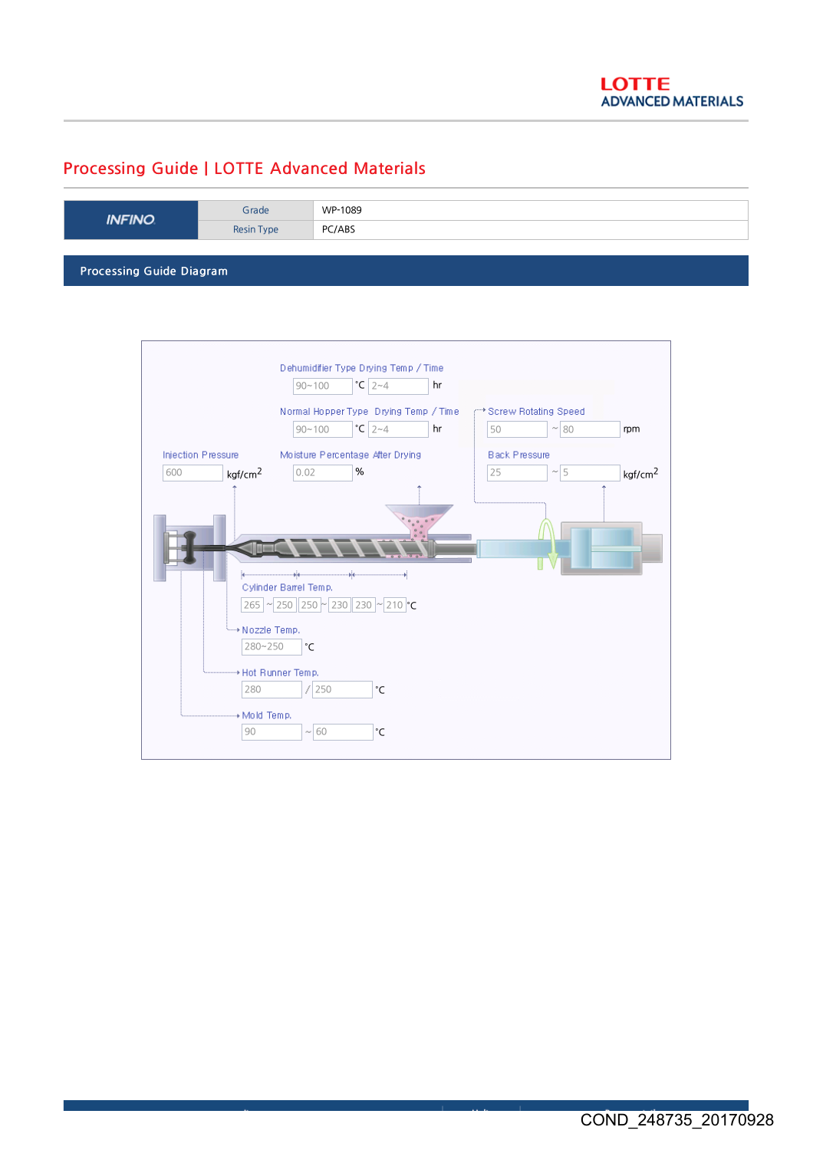## Processing Guide | LOTTE Advanced Materials

| <b>INFINO</b>                   | Grade             | WP-1089 |  |  |
|---------------------------------|-------------------|---------|--|--|
|                                 | <b>Resin Type</b> | PC/ABS  |  |  |
|                                 |                   |         |  |  |
| <b>Processing Guide Diagram</b> |                   |         |  |  |

Dehumidifier Type Drying Temp / Time 90~100  $\degree$ C 2~4 hr Normal Hopper Type Drying Temp / Time Screw Rotating Speed  $50$   $\sim$  80 90~100  $\degree$ C 2~4 hr 50  $\degree$  80 hpm Injection Pressure Moisture Percentage After Drying Black Pressure 600  $0.02$ %  $\boxed{25} \qquad \qquad \boxed{\sim 5}$ kgf/cm2 kgf/cm2 Cylinder Barrel Temp. 265 | ~ 250 || 250 |~ 230 || 230 || ~ 210 || °C → Nozzle Temp. 280~250 °C \* Hot Runner Temp.  $\boxed{280}$  / $\boxed{250}$ °C + Mold Temp.  $90$  ~ 60 °C